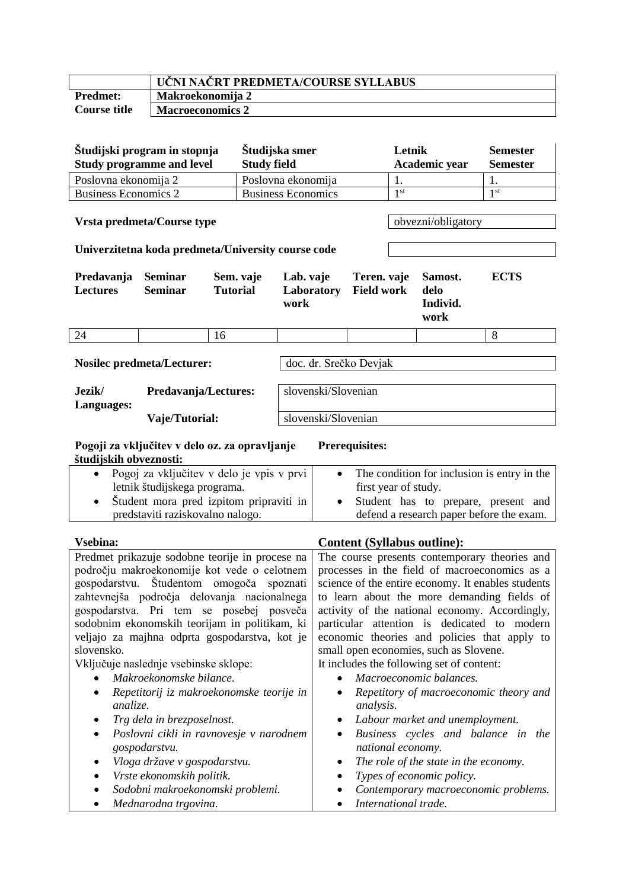|                 | UČNI NAČRT PREDMETA/COURSE SYLLABUS |
|-----------------|-------------------------------------|
| <b>Predmet:</b> | Makroekonomija 2                    |
| Course title    | <b>Macroeconomics 2</b>             |

| Študijski program in stopnja<br><b>Study programme and level</b>                                                                                                                                                                                                                                                                                                                                                                                                                                                                                                                                                                                                                                        |                                                |                              | Študijska smer<br><b>Study field</b>                                                                                                                   |                                                        |  | Letnik<br>Academic year                                                                                                                                                                                                 |                                                                                                                                                                                                                                                                                                                                                                                                                                                                              | <b>Semester</b><br><b>Semester</b>  |                 |
|---------------------------------------------------------------------------------------------------------------------------------------------------------------------------------------------------------------------------------------------------------------------------------------------------------------------------------------------------------------------------------------------------------------------------------------------------------------------------------------------------------------------------------------------------------------------------------------------------------------------------------------------------------------------------------------------------------|------------------------------------------------|------------------------------|--------------------------------------------------------------------------------------------------------------------------------------------------------|--------------------------------------------------------|--|-------------------------------------------------------------------------------------------------------------------------------------------------------------------------------------------------------------------------|------------------------------------------------------------------------------------------------------------------------------------------------------------------------------------------------------------------------------------------------------------------------------------------------------------------------------------------------------------------------------------------------------------------------------------------------------------------------------|-------------------------------------|-----------------|
| Poslovna ekonomija 2                                                                                                                                                                                                                                                                                                                                                                                                                                                                                                                                                                                                                                                                                    |                                                |                              |                                                                                                                                                        | Poslovna ekonomija                                     |  |                                                                                                                                                                                                                         | 1.                                                                                                                                                                                                                                                                                                                                                                                                                                                                           |                                     | 1.              |
| <b>Business Economics 2</b>                                                                                                                                                                                                                                                                                                                                                                                                                                                                                                                                                                                                                                                                             |                                                |                              |                                                                                                                                                        | <b>Business Economics</b>                              |  |                                                                                                                                                                                                                         | 1 <sup>st</sup>                                                                                                                                                                                                                                                                                                                                                                                                                                                              |                                     | 1 <sup>st</sup> |
| Vrsta predmeta/Course type<br>Univerzitetna koda predmeta/University course code                                                                                                                                                                                                                                                                                                                                                                                                                                                                                                                                                                                                                        |                                                |                              |                                                                                                                                                        |                                                        |  | obvezni/obligatory                                                                                                                                                                                                      |                                                                                                                                                                                                                                                                                                                                                                                                                                                                              |                                     |                 |
| Predavanja<br><b>Lectures</b>                                                                                                                                                                                                                                                                                                                                                                                                                                                                                                                                                                                                                                                                           | <b>Seminar</b><br><b>Seminar</b>               | Sem. vaje<br><b>Tutorial</b> |                                                                                                                                                        | Lab. vaje<br>Laboratory<br>work                        |  | Teren. vaje<br><b>Field work</b>                                                                                                                                                                                        |                                                                                                                                                                                                                                                                                                                                                                                                                                                                              | Samost.<br>delo<br>Individ.<br>work | <b>ECTS</b>     |
| 24                                                                                                                                                                                                                                                                                                                                                                                                                                                                                                                                                                                                                                                                                                      |                                                | 16                           |                                                                                                                                                        |                                                        |  |                                                                                                                                                                                                                         |                                                                                                                                                                                                                                                                                                                                                                                                                                                                              |                                     | 8               |
| <b>Nosilec predmeta/Lecturer:</b><br>Jezik/<br>Predavanja/Lectures:                                                                                                                                                                                                                                                                                                                                                                                                                                                                                                                                                                                                                                     |                                                |                              |                                                                                                                                                        | doc. dr. Srečko Devjak<br>slovenski/Slovenian          |  |                                                                                                                                                                                                                         |                                                                                                                                                                                                                                                                                                                                                                                                                                                                              |                                     |                 |
| Languages:                                                                                                                                                                                                                                                                                                                                                                                                                                                                                                                                                                                                                                                                                              |                                                |                              |                                                                                                                                                        |                                                        |  |                                                                                                                                                                                                                         |                                                                                                                                                                                                                                                                                                                                                                                                                                                                              |                                     |                 |
|                                                                                                                                                                                                                                                                                                                                                                                                                                                                                                                                                                                                                                                                                                         | Vaje/Tutorial:                                 |                              |                                                                                                                                                        | slovenski/Slovenian                                    |  |                                                                                                                                                                                                                         |                                                                                                                                                                                                                                                                                                                                                                                                                                                                              |                                     |                 |
| študijskih obveznosti:                                                                                                                                                                                                                                                                                                                                                                                                                                                                                                                                                                                                                                                                                  | Pogoji za vključitev v delo oz. za opravljanje |                              |                                                                                                                                                        |                                                        |  | <b>Prerequisites:</b>                                                                                                                                                                                                   |                                                                                                                                                                                                                                                                                                                                                                                                                                                                              |                                     |                 |
| Pogoj za vključitev v delo je vpis v prvi<br>letnik študijskega programa.<br>Študent mora pred izpitom pripraviti in<br>$\bullet$<br>predstaviti raziskovalno nalogo.                                                                                                                                                                                                                                                                                                                                                                                                                                                                                                                                   |                                                |                              | The condition for inclusion is entry in the<br>first year of study.<br>Student has to prepare, present and<br>defend a research paper before the exam. |                                                        |  |                                                                                                                                                                                                                         |                                                                                                                                                                                                                                                                                                                                                                                                                                                                              |                                     |                 |
| Vsebina:                                                                                                                                                                                                                                                                                                                                                                                                                                                                                                                                                                                                                                                                                                |                                                |                              |                                                                                                                                                        |                                                        |  |                                                                                                                                                                                                                         |                                                                                                                                                                                                                                                                                                                                                                                                                                                                              | <b>Content (Syllabus outline):</b>  |                 |
| Predmet prikazuje sodobne teorije in procese na<br>področju makroekonomije kot vede o celotnem<br>gospodarstvu. Študentom omogoča<br>spoznati<br>zahtevnejša področja delovanja nacionalnega<br>gospodarstva. Pri tem se posebej posveča<br>sodobnim ekonomskih teorijam in politikam, ki<br>veljajo za majhna odprta gospodarstva, kot je<br>slovensko.<br>Vključuje naslednje vsebinske sklope:<br>Makroekonomske bilance.<br>Repetitorij iz makroekonomske teorije in<br>analize.<br>Trg dela in brezposelnost.<br>Poslovni cikli in ravnovesje v narodnem<br>gospodarstvu.<br>Vloga države v gospodarstvu.<br>Vrste ekonomskih politik.<br>Sodobni makroekonomski problemi.<br>Mednarodna trgovina. |                                                |                              |                                                                                                                                                        | analysis.<br>national economy.<br>International trade. |  | small open economies, such as Slovene.<br>It includes the following set of content:<br>Macroeconomic balances.<br>Labour market and unemployment.<br>The role of the state in the economy.<br>Types of economic policy. | The course presents contemporary theories and<br>processes in the field of macroeconomics as a<br>science of the entire economy. It enables students<br>to learn about the more demanding fields of<br>activity of the national economy. Accordingly,<br>particular attention is dedicated to modern<br>economic theories and policies that apply to<br>Repetitory of macroeconomic theory and<br>Business cycles and balance in the<br>Contemporary macroeconomic problems. |                                     |                 |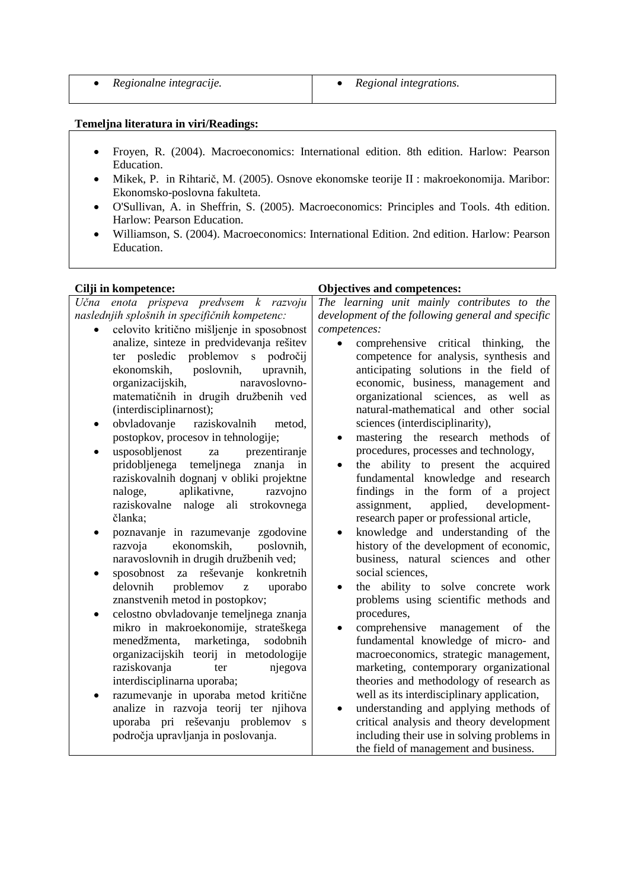|  | Regionalne integracije. | Regional integrations. |
|--|-------------------------|------------------------|
|--|-------------------------|------------------------|

## **Temeljna literatura in viri/Readings:**

- Froyen, [R. \(2004\). Macroeconomics:](http://www.pearsoned.co.uk/Bookshop/Results.asp?sRS=&iCurPage=1&SearchCriteria=%40Type%3D%271%27%2C%40Author%3D%27common%2Eauthorstring+like+%27%27%25Richard+Froyen%25%27%27%27%2C%40Download%3D1&orderby=&SearchTerm=Richard+Froyen) International edition. 8th edition. Harlow: Pearson Education.
- [Mikek, P.](http://cobiss2.izum.si/scripts/cobiss?ukaz=FFRM&mode=5&id=0917006111915767&PF1=AU&PF2=TI&PF3=PY&PF4=KW&CS=a&PF5=CB&run=yes&SS1=%22Mikek,%20Peter%22) in [Rihtarič, M. \(](http://cobiss2.izum.si/scripts/cobiss?ukaz=FFRM&mode=5&id=0917006111915767&PF1=AU&PF2=TI&PF3=PY&PF4=KW&CS=a&PF5=CB&run=yes&SS1=%22Rihtaric,%20Mira%22)2005). Osnove ekonomske teorije II : makroekonomija. Maribor: Ekonomsko-poslovna fakulteta.
- [O'Sullivan,](http://www.pearsoned.co.uk/Bookshop/Results.asp?sRS=&iCurPage=1&SearchCriteria=%40Type%3D%271%27%2C%40Author%3D%27common%2Eauthorstring+like+%27%27%25Arthur+O%27Sullivan%25%27%27%27%2C%40Download%3D1&orderby=&SearchTerm=Arthur+O%27Sullivan) A. in [Sheffrin,](http://www.pearsoned.co.uk/Bookshop/Results.asp?sRS=&iCurPage=1&SearchCriteria=%40Type%3D%271%27%2C%40Author%3D%27common%2Eauthorstring+like+%27%27%25+Steven+Sheffrin%25%27%27%27%2C%40Download%3D1&orderby=&SearchTerm=+Steven+Sheffrin) S. (2005). Macroeconomics: Principles and Tools. 4th edition. Harlow: Pearson Education.
- [Williamson,](http://www.pearsoned.co.uk/Bookshop/Results.asp?sRS=&iCurPage=1&SearchCriteria=%40Type%3D%271%27%2C%40Author%3D%27common%2Eauthorstring+like+%27%27%25Stephen+Williamson%25%27%27%27%2C%40Download%3D1&orderby=&SearchTerm=Stephen+Williamson) S. (2004). Macroeconomics: International Edition. 2nd edition. Harlow: Pearson Education.

## **Cilji in kompetence: Objectives and competences:** *Učna enota prispeva predvsem k razvoju naslednjih splošnih in specifičnih kompetenc:* • celovito kritično mišljenje in sposobnost analize, sinteze in predvidevanja rešitev ter posledic problemov s področij ekonomskih, poslovnih, upravnih, organizacijskih, naravoslovnomatematičnih in drugih družbenih ved (interdisciplinarnost); • obvladovanje raziskovalnih metod, postopkov, procesov in tehnologije; • usposobljenost za prezentiranje pridobljenega temeljnega znanja in raziskovalnih dognanj v obliki projektne naloge, aplikativne, razvojno raziskovalne naloge ali strokovnega članka; • poznavanje in razumevanje zgodovine razvoja ekonomskih, poslovnih, naravoslovnih in drugih družbenih ved; • sposobnost za reševanje konkretnih delovnih problemov z uporabo znanstvenih metod in postopkov; • celostno obvladovanje temeljnega znanja mikro in makroekonomije, strateškega menedžmenta, marketinga, sodobnih organizacijskih teorij in metodologije raziskovanja ter njegova interdisciplinarna uporaba; • razumevanje in uporaba metod kritične analize in razvoja teorij ter njihova uporaba pri reševanju problemov s področja upravljanja in poslovanja. *The learning unit mainly contributes to the development of the following general and specific competences:* • comprehensive critical thinking, the competence for analysis, synthesis and anticipating solutions in the field of economic, business, management and organizational sciences, as well as natural-mathematical and other social sciences (interdisciplinarity), mastering the research methods of procedures, processes and technology, the ability to present the acquired fundamental knowledge and research findings in the form of a project assignment, applied, developmentresearch paper or professional article, • knowledge and understanding of the history of the development of economic, business, natural sciences and other social sciences, the ability to solve concrete work problems using scientific methods and procedures, • comprehensive management of the fundamental knowledge of micro- and macroeconomics, strategic management, marketing, contemporary organizational theories and methodology of research as well as its interdisciplinary application, understanding and applying methods of critical analysis and theory development including their use in solving problems in the field of management and business.